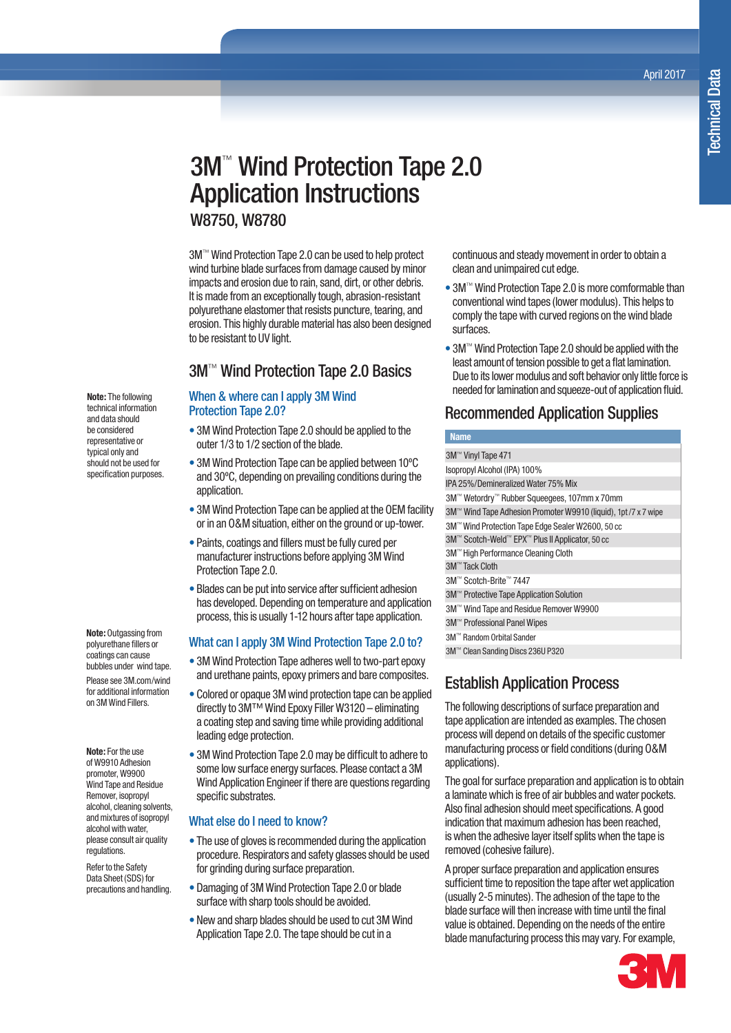April 2017

# 3M™ Wind Protection Tape 2.0 Application Instructions W8750, W8780

3M™ Wind Protection Tape 2.0 can be used to help protect wind turbine blade surfaces from damage caused by minor impacts and erosion due to rain, sand, dirt, or other debris. It is made from an exceptionally tough, abrasion-resistant polyurethane elastomer that resists puncture, tearing, and erosion. This highly durable material has also been designed to be resistant to UV light.

# 3M™ Wind Protection Tape 2.0 Basics

#### When & where can I apply 3M Wind Protection Tape 2.0?

- 3M Wind Protection Tape 2.0 should be applied to the outer 1/3 to 1/2 section of the blade.
- 3M Wind Protection Tape can be applied between 10ºC and 30ºC, depending on prevailing conditions during the application.
- 3M Wind Protection Tape can be applied at the OEM facility or in an O&M situation, either on the ground or up-tower.
- Paints, coatings and fillers must be fully cured per manufacturer instructions before applying 3M Wind Protection Tape 2.0.
- Blades can be put into service after sufficient adhesion has developed. Depending on temperature and application process, this is usually 1-12 hours after tape application.

#### What can I apply 3M Wind Protection Tape 2.0 to?

- 3M Wind Protection Tape adheres well to two-part epoxy and urethane paints, epoxy primers and bare composites.
- Colored or opaque 3M wind protection tape can be applied directly to 3M™ Wind Epoxy Filler W3120 – eliminating a coating step and saving time while providing additional leading edge protection.
- 3M Wind Protection Tape 2.0 may be difficult to adhere to some low surface energy surfaces. Please contact a 3M Wind Application Engineer if there are questions regarding specific substrates.

#### What else do I need to know?

- The use of gloves is recommended during the application procedure. Respirators and safety glasses should be used for grinding during surface preparation.
- Damaging of 3M Wind Protection Tape 2.0 or blade surface with sharp tools should be avoided.
- New and sharp blades should be used to cut 3M Wind Application Tape 2.0. The tape should be cut in a

continuous and steady movement in order to obtain a clean and unimpaired cut edge.

- 3M™ Wind Protection Tape 2.0 is more comformable than conventional wind tapes (lower modulus). This helps to comply the tape with curved regions on the wind blade surfaces.
- 3M™ Wind Protection Tape 2.0 should be applied with the least amount of tension possible to get a flat lamination. Due to its lower modulus and soft behavior only little force is needed for lamination and squeeze-out of application fluid.

# Recommended Application Supplies

#### **Name**

| 3M <sup>™</sup> Vinyl Tape 471                                 |
|----------------------------------------------------------------|
| Isopropyl Alcohol (IPA) 100%                                   |
| IPA 25%/Demineralized Water 75% Mix                            |
| 3M™ Wetordry™ Rubber Squeeqees, 107mm x 70mm                   |
| 3M™ Wind Tape Adhesion Promoter W9910 (liquid), 1pt/7 x 7 wipe |
| 3M™ Wind Protection Tape Edge Sealer W2600, 50 cc              |
| 3M™ Scotch-Weld™ EPX™ Plus II Applicator, 50 cc                |
| 3M <sup>™</sup> High Performance Cleaning Cloth                |
| 3M <sup>™</sup> Tack Cloth                                     |
| 3M™ Scotch-Brite™ 7447                                         |
| 3M <sup>™</sup> Protective Tape Application Solution           |
| 3M™ Wind Tape and Residue Remover W9900                        |
| 3M™ Professional Panel Wipes                                   |
| 3M™ Random Orbital Sander                                      |
|                                                                |

3M™ Clean Sanding Discs 236U P320

# Establish Application Process

The following descriptions of surface preparation and tape application are intended as examples. The chosen process will depend on details of the specific customer manufacturing process or field conditions (during O&M applications).

The goal for surface preparation and application is to obtain a laminate which is free of air bubbles and water pockets. Also final adhesion should meet specifications. A good indication that maximum adhesion has been reached, is when the adhesive layer itself splits when the tape is removed (cohesive failure).

A proper surface preparation and application ensures sufficient time to reposition the tape after wet application (usually 2-5 minutes). The adhesion of the tape to the blade surface will then increase with time until the final value is obtained. Depending on the needs of the entire blade manufacturing process this may vary. For example,



**Note:** The following technical information and data should be considered representative or typical only and should not be used for specification purposes.

**Note:** Outgassing from polyurethane fillers or coatings can cause bubbles under wind tape. Please see 3M.com/wind for additional information on 3M Wind Fillers.

**Note:** For the use of W9910 Adhesion promoter, W9900 Wind Tape and Residue Remover, isopropyl alcohol, cleaning solvents, and mixtures of isopropyl alcohol with water, please consult air quality regulations.

Refer to the Safety Data Sheet (SDS) for precautions and handling.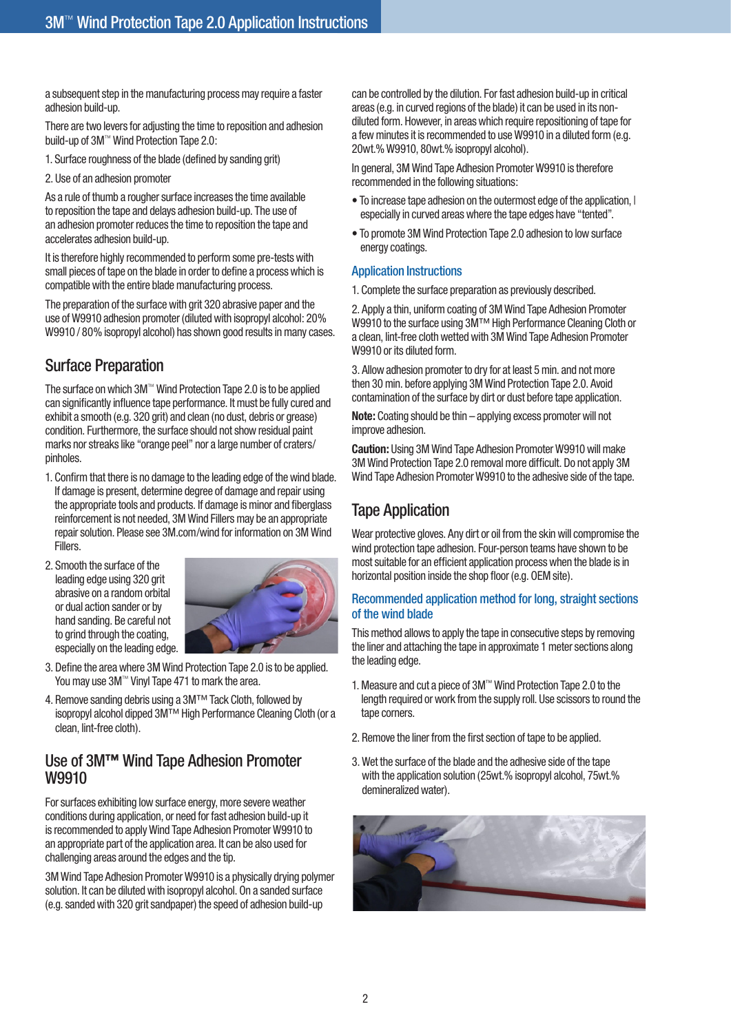a subsequent step in the manufacturing process may require a faster adhesion build-up.

There are two levers for adjusting the time to reposition and adhesion build-up of 3M™ Wind Protection Tape 2.0:

1. Surface roughness of the blade (defined by sanding grit)

2. Use of an adhesion promoter

As a rule of thumb a rougher surface increases the time available to reposition the tape and delays adhesion build-up. The use of an adhesion promoter reduces the time to reposition the tape and accelerates adhesion build-up.

It is therefore highly recommended to perform some pre-tests with small pieces of tape on the blade in order to define a process which is compatible with the entire blade manufacturing process.

The preparation of the surface with grit 320 abrasive paper and the use of W9910 adhesion promoter (diluted with isopropyl alcohol: 20% W9910 / 80% isopropyl alcohol) has shown good results in many cases.

# Surface Preparation

The surface on which 3M™ Wind Protection Tape 2.0 is to be applied can significantly influence tape performance. It must be fully cured and exhibit a smooth (e.g. 320 grit) and clean (no dust, debris or grease) condition. Furthermore, the surface should not show residual paint marks nor streaks like "orange peel" nor a large number of craters/ pinholes.

- 1. Confirm that there is no damage to the leading edge of the wind blade. If damage is present, determine degree of damage and repair using the appropriate tools and products. If damage is minor and fiberglass reinforcement is not needed, 3M Wind Fillers may be an appropriate repair solution. Please see 3M.com/wind for information on 3M Wind Fillers.
- 2. Smooth the surface of the leading edge using 320 grit abrasive on a random orbital or dual action sander or by hand sanding. Be careful not to grind through the coating. especially on the leading edge.



- 3. Define the area where 3M Wind Protection Tape 2.0 is to be applied. You may use 3M™ Vinyl Tape 471 to mark the area.
- 4. Remove sanding debris using a 3M™ Tack Cloth, followed by isopropyl alcohol dipped 3M™ High Performance Cleaning Cloth (or a clean, lint-free cloth).

### Use of 3M**™** Wind Tape Adhesion Promoter W9910

For surfaces exhibiting low surface energy, more severe weather conditions during application, or need for fast adhesion build-up it is recommended to apply Wind Tape Adhesion Promoter W9910 to an appropriate part of the application area. It can be also used for challenging areas around the edges and the tip.

3M Wind Tape Adhesion Promoter W9910 is a physically drying polymer solution. It can be diluted with isopropyl alcohol. On a sanded surface (e.g. sanded with 320 grit sandpaper) the speed of adhesion build-up

can be controlled by the dilution. For fast adhesion build-up in critical areas (e.g. in curved regions of the blade) it can be used in its nondiluted form. However, in areas which require repositioning of tape for a few minutes it is recommended to use W9910 in a diluted form (e.g. 20wt.% W9910, 80wt.% isopropyl alcohol).

In general, 3M Wind Tape Adhesion Promoter W9910 is therefore recommended in the following situations:

- To increase tape adhesion on the outermost edge of the application, | especially in curved areas where the tape edges have "tented".
- To promote 3M Wind Protection Tape 2.0 adhesion to low surface energy coatings.

#### Application Instructions

1. Complete the surface preparation as previously described.

2. Apply a thin, uniform coating of 3M Wind Tape Adhesion Promoter W9910 to the surface using 3M™ High Performance Cleaning Cloth or a clean, lint-free cloth wetted with 3M Wind Tape Adhesion Promoter W9910 or its diluted form.

3. Allow adhesion promoter to dry for at least 5 min. and not more then 30 min. before applying 3M Wind Protection Tape 2.0. Avoid contamination of the surface by dirt or dust before tape application.

**Note:** Coating should be thin – applying excess promoter will not improve adhesion.

**Caution:** Using 3M Wind Tape Adhesion Promoter W9910 will make 3M Wind Protection Tape 2.0 removal more difficult. Do not apply 3M Wind Tape Adhesion Promoter W9910 to the adhesive side of the tape.

# Tape Application

Wear protective gloves. Any dirt or oil from the skin will compromise the wind protection tape adhesion. Four-person teams have shown to be most suitable for an efficient application process when the blade is in horizontal position inside the shop floor (e.g. OEM site).

#### Recommended application method for long, straight sections of the wind blade

This method allows to apply the tape in consecutive steps by removing the liner and attaching the tape in approximate 1 meter sections along the leading edge.

- 1. Measure and cut a piece of 3M™ Wind Protection Tape 2.0 to the length required or work from the supply roll. Use scissors to round the tape corners.
- 2. Remove the liner from the first section of tape to be applied.
- 3. Wet the surface of the blade and the adhesive side of the tape with the application solution (25wt.% isopropyl alcohol, 75wt.% demineralized water).

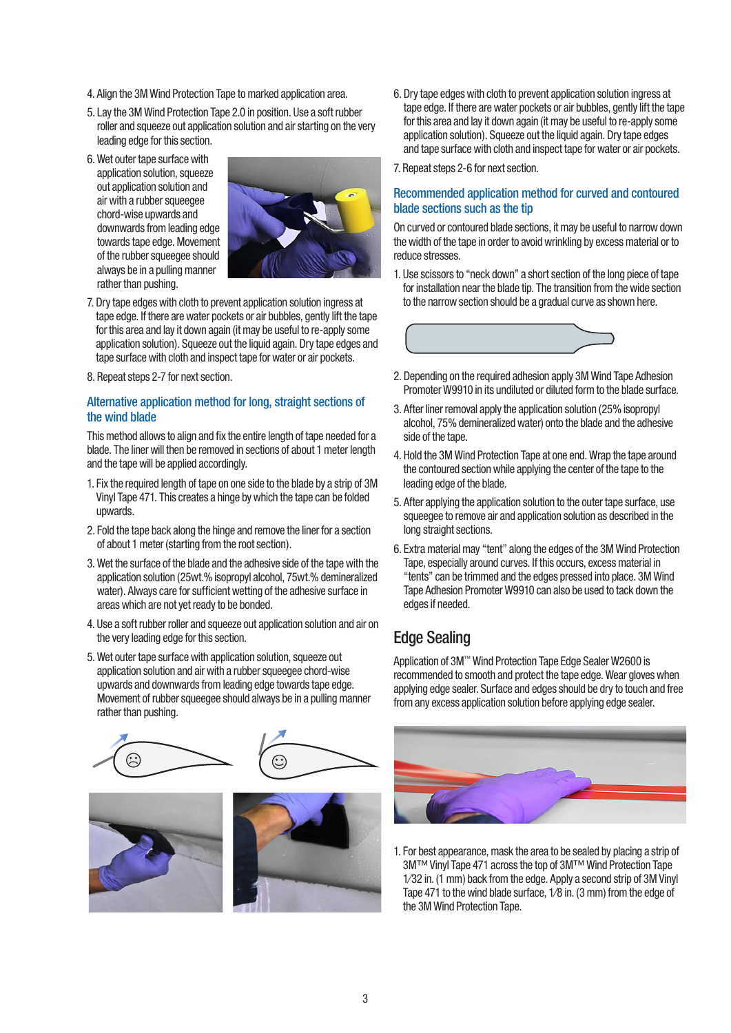- 4. Align the 3M Wind Protection Tape to marked application area.
- 5. Lay the 3M Wind Protection Tape 2.0 in position. Use a soft rubber roller and squeeze out application solution and air starting on the very leading edge for this section.
- 6. Wet outer tape surface with application solution, squeeze out application solution and air with a rubber squeegee chord-wise upwards and downwards from leading edge towards tape edge. Movement of the rubber squeegee should always be in a pulling manner rather than pushing.



- 7. Dry tape edges with cloth to prevent application solution ingress at tape edge. If there are water pockets or air bubbles, gently lift the tape for this area and lay it down again (it may be useful to re-apply some application solution). Squeeze out the liquid again. Dry tape edges and tape surface with cloth and inspect tape for water or air pockets.
- 8. Repeat steps 2-7 for next section.

#### Alternative application method for long, straight sections of the wind blade

This method allows to align and fix the entire length of tape needed for a blade. The liner will then be removed in sections of about 1 meter length and the tape will be applied accordingly.

- 1. Fix the required length of tape on one side to the blade by a strip of 3M Vinyl Tape 471. This creates a hinge by which the tape can be folded upwards.
- 2. Fold the tape back along the hinge and remove the liner for a section of about 1 meter (starting from the root section).
- 3. Wet the surface of the blade and the adhesive side of the tape with the application solution (25wt.% isopropyl alcohol, 75wt.% demineralized water). Always care for sufficient wetting of the adhesive surface in areas which are not yet ready to be bonded.
- 4. Use a soft rubber roller and squeeze out application solution and air on the very leading edge for this section.
- 5. Wet outer tape surface with application solution, squeeze out application solution and air with a rubber squeegee chord-wise upwards and downwards from leading edge towards tape edge. Movement of rubber squeegee should always be in a pulling manner rather than pushing.









6. Dry tape edges with cloth to prevent application solution ingress at tape edge. If there are water pockets or air bubbles, gently lift the tape for this area and lay it down again (it may be useful to re-apply some application solution). Squeeze out the liquid again. Dry tape edges and tape surface with cloth and inspect tape for water or air pockets.

7. Repeat steps 2-6 for next section.

#### Recommended application method for curved and contoured blade sections such as the tip

On curved or contoured blade sections, it may be useful to narrow down the width of the tape in order to avoid wrinkling by excess material or to reduce stresses.

1. Use scissors to "neck down" a short section of the long piece of tape for installation near the blade tip. The transition from the wide section to the narrow section should be a gradual curve as shown here.



- 2. Depending on the required adhesion apply 3M Wind Tape Adhesion Promoter W9910 in its undiluted or diluted form to the blade surface.
- 3. After liner removal apply the application solution (25% isopropyl alcohol, 75% demineralized water) onto the blade and the adhesive side of the tape.
- 4. Hold the 3M Wind Protection Tape at one end. Wrap the tape around the contoured section while applying the center of the tape to the leading edge of the blade.
- 5. After applying the application solution to the outer tape surface, use squeegee to remove air and application solution as described in the long straight sections.
- 6. Extra material may "tent" along the edges of the 3M Wind Protection Tape, especially around curves. If this occurs, excess material in "tents" can be trimmed and the edges pressed into place. 3M Wind Tape Adhesion Promoter W9910 can also be used to tack down the edges if needed.

# Edge Sealing

Application of 3M™ Wind Protection Tape Edge Sealer W2600 is recommended to smooth and protect the tape edge. Wear gloves when applying edge sealer. Surface and edges should be dry to touch and free from any excess application solution before applying edge sealer.



1. For best appearance, mask the area to be sealed by placing a strip of 3M™ Vinyl Tape 471 across the top of 3M™ Wind Protection Tape 1⁄32 in. (1 mm) back from the edge. Apply a second strip of 3M Vinyl Tape 471 to the wind blade surface, 1⁄8 in. (3 mm) from the edge of the 3M Wind Protection Tape.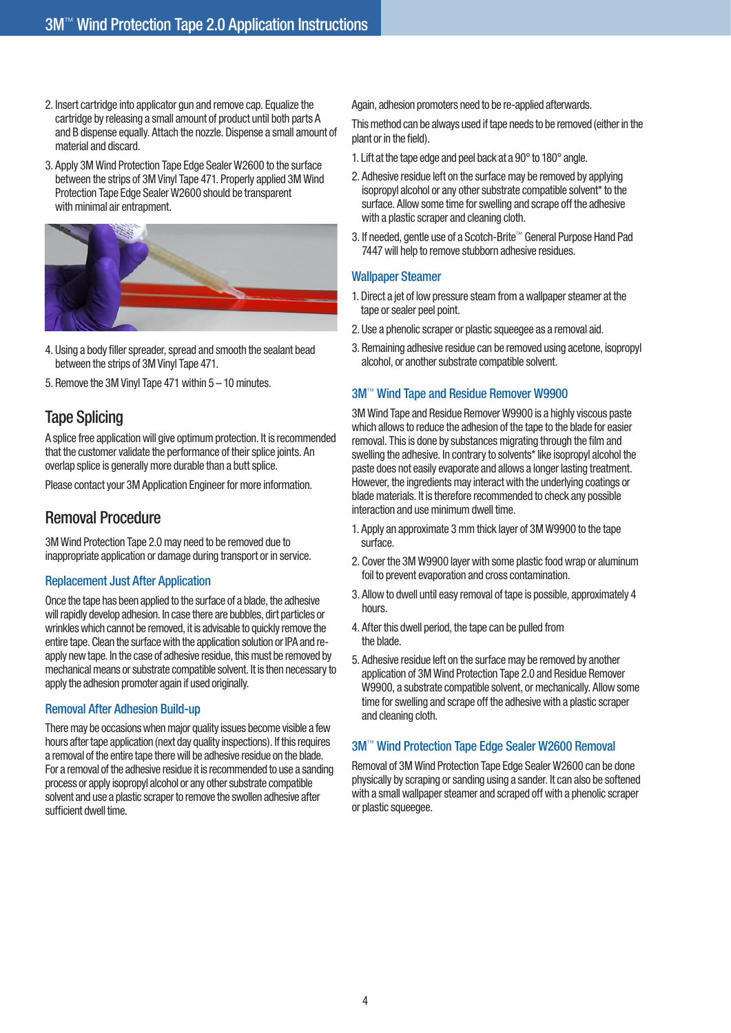- 2. Insert cartridge into applicator gun and remove cap. Equalize the cartridge by releasing a small amount of product until both parts A and B dispense equally. Attach the nozzle. Dispense a small amount of material and discard.
- 3. Apply 3M Wind Protection Tape Edge Sealer W2600 to the surface between the strips of 3M Vinyl Tape 471. Properly applied 3M Wind Protection Tape Edge Sealer W2600 should be transparent with minimal air entrapment.



- 4. Using a body filler spreader, spread and smooth the sealant bead between the strips of 3M Vinyl Tape 471.
- 5. Remove the 3M Vinyl Tape 471 within 5 10 minutes.

# Tape Splicing

A splice free application will give optimum protection. It is recommended that the customer validate the performance of their splice joints. An overlap splice is generally more durable than a butt splice.

Please contact your 3M Application Engineer for more information.

### Removal Procedure

3M Wind Protection Tape 2.0 may need to be removed due to inappropriate application or damage during transport or in service.

#### Replacement Just After Application

Once the tape has been applied to the surface of a blade, the adhesive will rapidly develop adhesion. In case there are bubbles, dirt particles or wrinkles which cannot be removed, it is advisable to quickly remove the entire tape. Clean the surface with the application solution or IPA and reapply new tape. In the case of adhesive residue, this must be removed by mechanical means or substrate compatible solvent. It is then necessary to apply the adhesion promoter again if used originally.

#### Removal After Adhesion Build-up

There may be occasions when major quality issues become visible a few hours after tape application (next day quality inspections). If this requires a removal of the entire tape there will be adhesive residue on the blade. For a removal of the adhesive residue it is recommended to use a sanding process or apply isopropyl alcohol or any other substrate compatible solvent and use a plastic scraper to remove the swollen adhesive after sufficient dwell time.

Again, adhesion promoters need to be re-applied afterwards.

This method can be always used if tape needs to be removed (either in the plant or in the field).

1. Lift at the tape edge and peel back at a 90° to 180° angle.

- 2. Adhesive residue left on the surface may be removed by applying isopropyl alcohol or any other substrate compatible solvent\* to the surface. Allow some time for swelling and scrape off the adhesive with a plastic scraper and cleaning cloth.
- 3. If needed, gentle use of a Scotch-Brite™ General Purpose Hand Pad 7447 will help to remove stubborn adhesive residues.

#### Wallpaper Steamer

- 1. Direct a jet of low pressure steam from a wallpaper steamer at the tape or sealer peel point.
- 2. Use a phenolic scraper or plastic squeegee as a removal aid.
- 3. Remaining adhesive residue can be removed using acetone, isopropyl alcohol, or another substrate compatible solvent.

#### 3M™ Wind Tape and Residue Remover W9900

3M Wind Tape and Residue Remover W9900 is a highly viscous paste which allows to reduce the adhesion of the tape to the blade for easier removal. This is done by substances migrating through the film and swelling the adhesive. In contrary to solvents\* like isopropyl alcohol the paste does not easily evaporate and allows a longer lasting treatment. However, the ingredients may interact with the underlying coatings or blade materials. It is therefore recommended to check any possible interaction and use minimum dwell time.

- 1. Apply an approximate 3 mm thick layer of 3M W9900 to the tape surface.
- 2. Cover the 3M W9900 layer with some plastic food wrap or aluminum foil to prevent evaporation and cross contamination.
- 3. Allow to dwell until easy removal of tape is possible, approximately 4 hours.
- 4. After this dwell period, the tape can be pulled from the blade.
- 5. Adhesive residue left on the surface may be removed by another application of 3M Wind Protection Tape 2.0 and Residue Remover W9900, a substrate compatible solvent, or mechanically. Allow some time for swelling and scrape off the adhesive with a plastic scraper and cleaning cloth.

#### 3M™ Wind Protection Tape Edge Sealer W2600 Removal

Removal of 3M Wind Protection Tape Edge Sealer W2600 can be done physically by scraping or sanding using a sander. It can also be softened with a small wallpaper steamer and scraped off with a phenolic scraper or plastic squeegee.